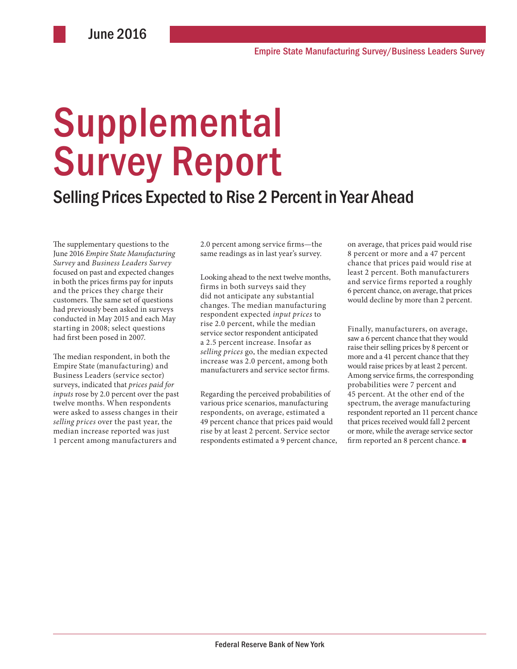# **Supplemental** Survey Report

## Selling Prices Expected to Rise 2 Percent in Year Ahead

The supplementary questions to the June 2016 *Empire State Manufacturing Survey* and *Business Leaders Survey* focused on past and expected changes in both the prices firms pay for inputs and the prices they charge their customers. The same set of questions had previously been asked in surveys conducted in May 2015 and each May starting in 2008; select questions had first been posed in 2007.

The median respondent, in both the Empire State (manufacturing) and Business Leaders (service sector) surveys, indicated that *prices paid for inputs* rose by 2.0 percent over the past twelve months. When respondents were asked to assess changes in their *selling prices* over the past year, the median increase reported was just 1 percent among manufacturers and

2.0 percent among service firms—the same readings as in last year's survey.

Looking ahead to the next twelve months, firms in both surveys said they did not anticipate any substantial changes. The median manufacturing respondent expected *input prices* to rise 2.0 percent, while the median service sector respondent anticipated a 2.5 percent increase. Insofar as *selling prices* go, the median expected increase was 2.0 percent, among both manufacturers and service sector firms.

Regarding the perceived probabilities of various price scenarios, manufacturing respondents, on average, estimated a 49 percent chance that prices paid would rise by at least 2 percent. Service sector respondents estimated a 9 percent chance, on average, that prices paid would rise 8 percent or more and a 47 percent chance that prices paid would rise at least 2 percent. Both manufacturers and service firms reported a roughly 6 percent chance, on average, that prices would decline by more than 2 percent.

Finally, manufacturers, on average, saw a 6 percent chance that they would raise their selling prices by 8 percent or more and a 41 percent chance that they would raise prices by at least 2 percent. Among service firms, the corresponding probabilities were 7 percent and 45 percent. At the other end of the spectrum, the average manufacturing respondent reported an 11 percent chance that prices received would fall 2 percent or more, while the average service sector firm reported an 8 percent chance. ■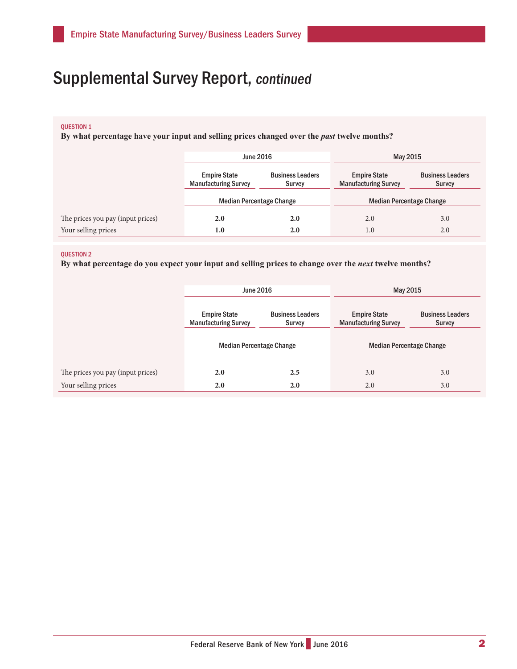# Supplemental Survey Report, continued

### QUESTION 1

**By what percentage have your input and selling prices changed over the** *past* **twelve months?** 

|                                   | <b>June 2016</b>                                   |                                   | May 2015                                           |                                          |
|-----------------------------------|----------------------------------------------------|-----------------------------------|----------------------------------------------------|------------------------------------------|
|                                   | <b>Empire State</b><br><b>Manufacturing Survey</b> | <b>Business Leaders</b><br>Survey | <b>Empire State</b><br><b>Manufacturing Survey</b> | <b>Business Leaders</b><br><b>Survey</b> |
|                                   | <b>Median Percentage Change</b>                    |                                   | <b>Median Percentage Change</b>                    |                                          |
| The prices you pay (input prices) | 2.0                                                | 2.0                               | 2.0                                                | 3.0                                      |
| Your selling prices               | 1.0                                                | 2.0                               | 1.0                                                | 2.0                                      |

#### QUESTION 2

**By what percentage do you expect your input and selling prices to change over the** *next* **twelve months?** 

|                                   | June 2016                                          |                                   | May 2015                                           |                                   |
|-----------------------------------|----------------------------------------------------|-----------------------------------|----------------------------------------------------|-----------------------------------|
|                                   | <b>Empire State</b><br><b>Manufacturing Survey</b> | <b>Business Leaders</b><br>Survey | <b>Empire State</b><br><b>Manufacturing Survey</b> | <b>Business Leaders</b><br>Survey |
|                                   | <b>Median Percentage Change</b>                    |                                   | <b>Median Percentage Change</b>                    |                                   |
| The prices you pay (input prices) | 2.0                                                | 2.5                               | 3.0                                                | 3.0                               |
| Your selling prices               | 2.0                                                | 2.0                               | 2.0                                                | 3.0                               |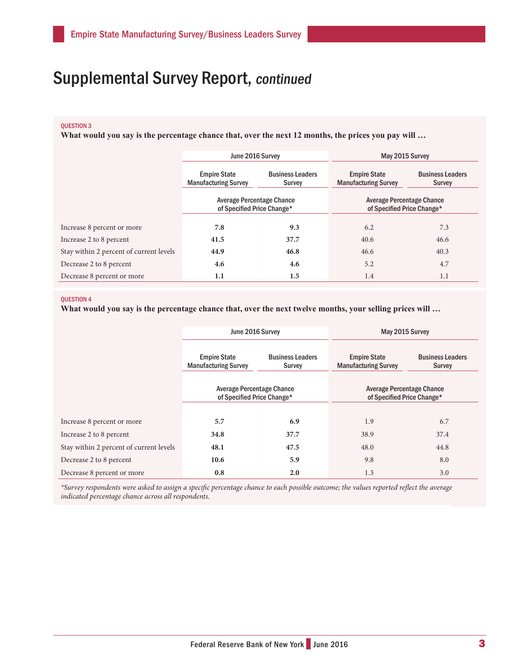# Supplemental Survey Report, continued

## QUESTION 3

**What would you say is the percentage chance that, over the next 12 months, the prices you pay will …**

|                                         | June 2016 Survey                                               |                                   | May 2015 Survey                                         |                                   |
|-----------------------------------------|----------------------------------------------------------------|-----------------------------------|---------------------------------------------------------|-----------------------------------|
|                                         | <b>Empire State</b><br><b>Manufacturing Survey</b>             | <b>Business Leaders</b><br>Survey | <b>Empire State</b><br><b>Manufacturing Survey</b>      | <b>Business Leaders</b><br>Survey |
|                                         | <b>Average Percentage Chance</b><br>of Specified Price Change* |                                   | Average Percentage Chance<br>of Specified Price Change* |                                   |
| Increase 8 percent or more              | 7.8                                                            | 9.3                               | 6.2                                                     | 7.3                               |
| Increase 2 to 8 percent                 | 41.5                                                           | 37.7                              | 40.6                                                    | 46.6                              |
| Stay within 2 percent of current levels | 44.9                                                           | 46.8                              | 46.6                                                    | 40.3                              |
| Decrease 2 to 8 percent                 | 4.6                                                            | 4.6                               | 5.2                                                     | 4.7                               |
| Decrease 8 percent or more              | 1.1                                                            | 1.5                               | 1.4                                                     | 1.1                               |

#### **OUESTION 4**

**What would you say is the percentage chance that, over the next twelve months, your selling prices will …** 

|                                         | June 2016 Survey                                        |                                   | May 2015 Survey                                         |                                   |
|-----------------------------------------|---------------------------------------------------------|-----------------------------------|---------------------------------------------------------|-----------------------------------|
|                                         | <b>Empire State</b><br><b>Manufacturing Survey</b>      | <b>Business Leaders</b><br>Survey | <b>Empire State</b><br><b>Manufacturing Survey</b>      | <b>Business Leaders</b><br>Survey |
|                                         | Average Percentage Chance<br>of Specified Price Change* |                                   | Average Percentage Chance<br>of Specified Price Change* |                                   |
| Increase 8 percent or more              | 5.7                                                     | 6.9                               | 1.9                                                     | 6.7                               |
| Increase 2 to 8 percent                 | 34.8                                                    | 37.7                              | 38.9                                                    | 37.4                              |
| Stay within 2 percent of current levels | 48.1                                                    | 47.5                              | 48.0                                                    | 44.8                              |
| Decrease 2 to 8 percent                 | 10.6                                                    | 5.9                               | 9.8                                                     | 8.0                               |
| Decrease 8 percent or more              | 0.8                                                     | 2.0                               | 1.3                                                     | 3.0                               |

*\*Survey respondents were asked to assign a specific percentage chance to each possible outcome; the values reported reflect the average indicated percentage chance across all respondents.*